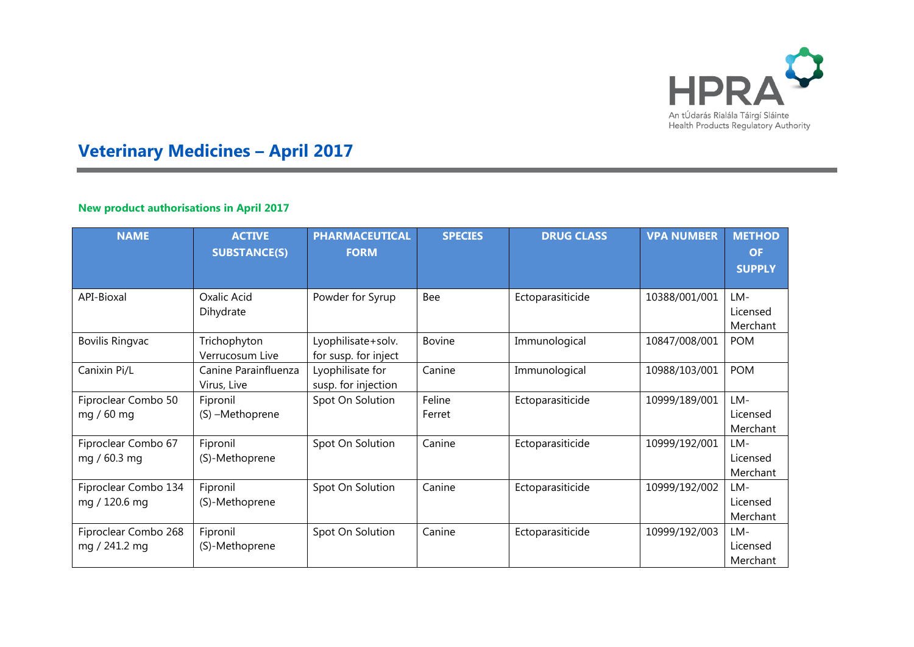

## **Veterinary Medicines – April 2017**

## **New product authorisations in April 2017**

| <b>NAME</b>                           | <b>ACTIVE</b>                       | <b>PHARMACEUTICAL</b>                      | <b>SPECIES</b> | <b>DRUG CLASS</b> | <b>VPA NUMBER</b> | <b>METHOD</b>               |
|---------------------------------------|-------------------------------------|--------------------------------------------|----------------|-------------------|-------------------|-----------------------------|
|                                       | <b>SUBSTANCE(S)</b>                 | <b>FORM</b>                                |                |                   |                   | <b>OF</b><br><b>SUPPLY</b>  |
|                                       |                                     |                                            |                |                   |                   |                             |
| API-Bioxal                            | Oxalic Acid<br>Dihydrate            | Powder for Syrup                           | Bee            | Ectoparasiticide  | 10388/001/001     | LM-<br>Licensed<br>Merchant |
| <b>Bovilis Ringvac</b>                | Trichophyton<br>Verrucosum Live     | Lyophilisate+solv.<br>for susp. for inject | <b>Bovine</b>  | Immunological     | 10847/008/001     | <b>POM</b>                  |
| Canixin Pi/L                          | Canine Parainfluenza<br>Virus, Live | Lyophilisate for<br>susp. for injection    | Canine         | Immunological     | 10988/103/001     | <b>POM</b>                  |
| Fiproclear Combo 50                   | Fipronil                            | Spot On Solution                           | Feline         | Ectoparasiticide  | 10999/189/001     | LM-                         |
| mg / 60 mg                            | (S) -Methoprene                     |                                            | Ferret         |                   |                   | Licensed<br>Merchant        |
| Fiproclear Combo 67<br>mg / 60.3 mg   | Fipronil<br>(S)-Methoprene          | Spot On Solution                           | Canine         | Ectoparasiticide  | 10999/192/001     | LM-<br>Licensed<br>Merchant |
| Fiproclear Combo 134<br>mg / 120.6 mg | Fipronil<br>(S)-Methoprene          | Spot On Solution                           | Canine         | Ectoparasiticide  | 10999/192/002     | LM-<br>Licensed<br>Merchant |
| Fiproclear Combo 268<br>mg / 241.2 mg | Fipronil<br>(S)-Methoprene          | Spot On Solution                           | Canine         | Ectoparasiticide  | 10999/192/003     | LM-<br>Licensed<br>Merchant |